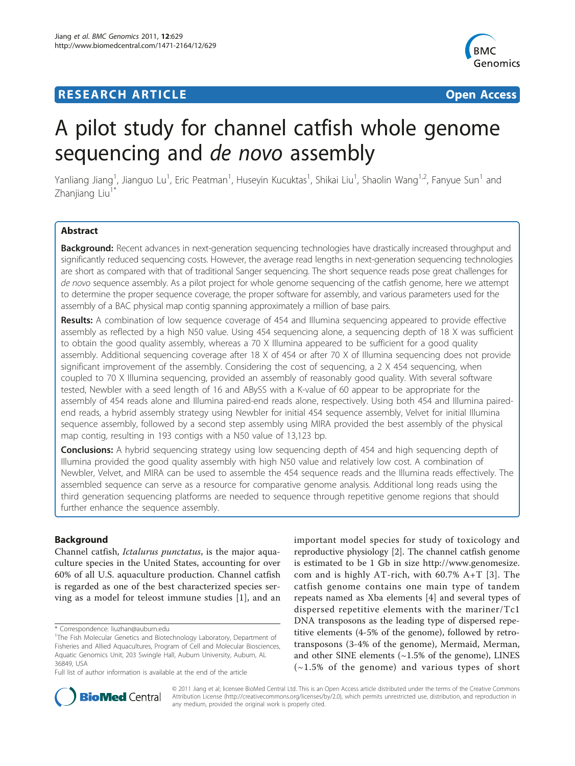## **RESEARCH ARTICLE Example 2014 CONSUMING ACCESS**



# A pilot study for channel catfish whole genome sequencing and de novo assembly

Yanliang Jiang<sup>1</sup>, Jianguo Lu<sup>1</sup>, Eric Peatman<sup>1</sup>, Huseyin Kucuktas<sup>1</sup>, Shikai Liu<sup>1</sup>, Shaolin Wang<sup>1,2</sup>, Fanyue Sun<sup>1</sup> and Zhaniiang Liu<sup>1</sup>

## Abstract

Background: Recent advances in next-generation sequencing technologies have drastically increased throughput and significantly reduced sequencing costs. However, the average read lengths in next-generation sequencing technologies are short as compared with that of traditional Sanger sequencing. The short sequence reads pose great challenges for de novo sequence assembly. As a pilot project for whole genome sequencing of the catfish genome, here we attempt to determine the proper sequence coverage, the proper software for assembly, and various parameters used for the assembly of a BAC physical map contig spanning approximately a million of base pairs.

Results: A combination of low sequence coverage of 454 and Illumina sequencing appeared to provide effective assembly as reflected by a high N50 value. Using 454 sequencing alone, a sequencing depth of 18 X was sufficient to obtain the good quality assembly, whereas a 70 X Illumina appeared to be sufficient for a good quality assembly. Additional sequencing coverage after 18 X of 454 or after 70 X of Illumina sequencing does not provide significant improvement of the assembly. Considering the cost of sequencing, a 2 X 454 sequencing, when coupled to 70 X Illumina sequencing, provided an assembly of reasonably good quality. With several software tested, Newbler with a seed length of 16 and ABySS with a K-value of 60 appear to be appropriate for the assembly of 454 reads alone and Illumina paired-end reads alone, respectively. Using both 454 and Illumina pairedend reads, a hybrid assembly strategy using Newbler for initial 454 sequence assembly, Velvet for initial Illumina sequence assembly, followed by a second step assembly using MIRA provided the best assembly of the physical map contig, resulting in 193 contigs with a N50 value of 13,123 bp.

**Conclusions:** A hybrid sequencing strategy using low sequencing depth of 454 and high sequencing depth of Illumina provided the good quality assembly with high N50 value and relatively low cost. A combination of Newbler, Velvet, and MIRA can be used to assemble the 454 sequence reads and the Illumina reads effectively. The assembled sequence can serve as a resource for comparative genome analysis. Additional long reads using the third generation sequencing platforms are needed to sequence through repetitive genome regions that should further enhance the sequence assembly.

## Background

Channel catfish, Ictalurus punctatus, is the major aquaculture species in the United States, accounting for over 60% of all U.S. aquaculture production. Channel catfish is regarded as one of the best characterized species serving as a model for teleost immune studies [[1\]](#page-10-0), and an

important model species for study of toxicology and reproductive physiology [[2\]](#page-10-0). The channel catfish genome is estimated to be 1 Gb in size [http://www.genomesize.](http://www.genomesize.com) [com](http://www.genomesize.com) and is highly AT-rich, with 60.7% A+T [[3](#page-10-0)]. The catfish genome contains one main type of tandem repeats named as Xba elements [[4](#page-10-0)] and several types of dispersed repetitive elements with the mariner/Tc1 DNA transposons as the leading type of dispersed repetitive elements (4-5% of the genome), followed by retrotransposons (3-4% of the genome), Mermaid, Merman, and other SINE elements  $(\sim1.5\%$  of the genome), LINES (~1.5% of the genome) and various types of short



© 2011 Jiang et al; licensee BioMed Central Ltd. This is an Open Access article distributed under the terms of the Creative Commons Attribution License [\(http://creativecommons.org/licenses/by/2.0](http://creativecommons.org/licenses/by/2.0)), which permits unrestricted use, distribution, and reproduction in any medium, provided the original work is properly cited.

<sup>\*</sup> Correspondence: [liuzhan@auburn.edu](mailto:liuzhan@auburn.edu)

<sup>&</sup>lt;sup>1</sup>The Fish Molecular Genetics and Biotechnology Laboratory, Department of Fisheries and Allied Aquacultures, Program of Cell and Molecular Biosciences, Aquatic Genomics Unit, 203 Swingle Hall, Auburn University, Auburn, AL 36849, USA

Full list of author information is available at the end of the article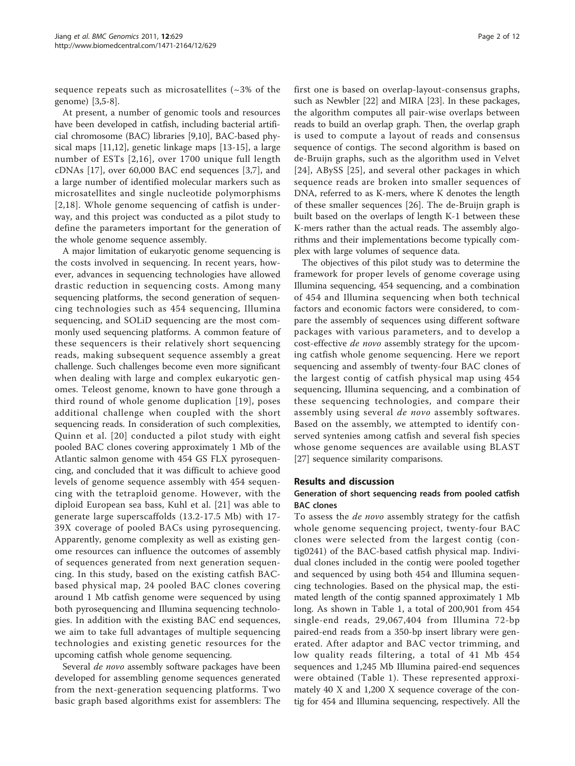sequence repeats such as microsatellites  $\left(\sim 3\% \text{ of the}\right)$ genome) [\[3,5](#page-10-0)-[8\]](#page-10-0).

At present, a number of genomic tools and resources have been developed in catfish, including bacterial artificial chromosome (BAC) libraries [[9,10\]](#page-10-0), BAC-based physical maps [\[11,12](#page-10-0)], genetic linkage maps [[13-15](#page-10-0)], a large number of ESTs [[2](#page-10-0),[16](#page-10-0)], over 1700 unique full length cDNAs [\[17](#page-10-0)], over 60,000 BAC end sequences [\[3](#page-10-0),[7\]](#page-10-0), and a large number of identified molecular markers such as microsatellites and single nucleotide polymorphisms [[2](#page-10-0),[18\]](#page-10-0). Whole genome sequencing of catfish is underway, and this project was conducted as a pilot study to define the parameters important for the generation of the whole genome sequence assembly.

A major limitation of eukaryotic genome sequencing is the costs involved in sequencing. In recent years, however, advances in sequencing technologies have allowed drastic reduction in sequencing costs. Among many sequencing platforms, the second generation of sequencing technologies such as 454 sequencing, Illumina sequencing, and SOLiD sequencing are the most commonly used sequencing platforms. A common feature of these sequencers is their relatively short sequencing reads, making subsequent sequence assembly a great challenge. Such challenges become even more significant when dealing with large and complex eukaryotic genomes. Teleost genome, known to have gone through a third round of whole genome duplication [[19](#page-10-0)], poses additional challenge when coupled with the short sequencing reads. In consideration of such complexities, Quinn et al. [[20\]](#page-10-0) conducted a pilot study with eight pooled BAC clones covering approximately 1 Mb of the Atlantic salmon genome with 454 GS FLX pyrosequencing, and concluded that it was difficult to achieve good levels of genome sequence assembly with 454 sequencing with the tetraploid genome. However, with the diploid European sea bass, Kuhl et al. [[21\]](#page-10-0) was able to generate large superscaffolds (13.2-17.5 Mb) with 17- 39X coverage of pooled BACs using pyrosequencing. Apparently, genome complexity as well as existing genome resources can influence the outcomes of assembly of sequences generated from next generation sequencing. In this study, based on the existing catfish BACbased physical map, 24 pooled BAC clones covering around 1 Mb catfish genome were sequenced by using both pyrosequencing and Illumina sequencing technologies. In addition with the existing BAC end sequences, we aim to take full advantages of multiple sequencing technologies and existing genetic resources for the upcoming catfish whole genome sequencing.

Several de novo assembly software packages have been developed for assembling genome sequences generated from the next-generation sequencing platforms. Two basic graph based algorithms exist for assemblers: The first one is based on overlap-layout-consensus graphs, such as Newbler [\[22\]](#page-10-0) and MIRA [[23](#page-10-0)]. In these packages, the algorithm computes all pair-wise overlaps between reads to build an overlap graph. Then, the overlap graph is used to compute a layout of reads and consensus sequence of contigs. The second algorithm is based on de-Bruijn graphs, such as the algorithm used in Velvet [[24](#page-10-0)], ABySS [[25\]](#page-10-0), and several other packages in which sequence reads are broken into smaller sequences of DNA, referred to as K-mers, where K denotes the length of these smaller sequences [\[26](#page-10-0)]. The de-Bruijn graph is built based on the overlaps of length K-1 between these K-mers rather than the actual reads. The assembly algorithms and their implementations become typically complex with large volumes of sequence data.

The objectives of this pilot study was to determine the framework for proper levels of genome coverage using Illumina sequencing, 454 sequencing, and a combination of 454 and Illumina sequencing when both technical factors and economic factors were considered, to compare the assembly of sequences using different software packages with various parameters, and to develop a cost-effective de novo assembly strategy for the upcoming catfish whole genome sequencing. Here we report sequencing and assembly of twenty-four BAC clones of the largest contig of catfish physical map using 454 sequencing, Illumina sequencing, and a combination of these sequencing technologies, and compare their assembly using several de novo assembly softwares. Based on the assembly, we attempted to identify conserved syntenies among catfish and several fish species whose genome sequences are available using BLAST [[27\]](#page-10-0) sequence similarity comparisons.

#### Results and discussion

#### Generation of short sequencing reads from pooled catfish BAC clones

To assess the *de novo* assembly strategy for the catfish whole genome sequencing project, twenty-four BAC clones were selected from the largest contig (contig0241) of the BAC-based catfish physical map. Individual clones included in the contig were pooled together and sequenced by using both 454 and Illumina sequencing technologies. Based on the physical map, the estimated length of the contig spanned approximately 1 Mb long. As shown in Table [1,](#page-2-0) a total of 200,901 from 454 single-end reads, 29,067,404 from Illumina 72-bp paired-end reads from a 350-bp insert library were generated. After adaptor and BAC vector trimming, and low quality reads filtering, a total of 41 Mb 454 sequences and 1,245 Mb Illumina paired-end sequences were obtained (Table [1\)](#page-2-0). These represented approximately 40 X and 1,200 X sequence coverage of the contig for 454 and Illumina sequencing, respectively. All the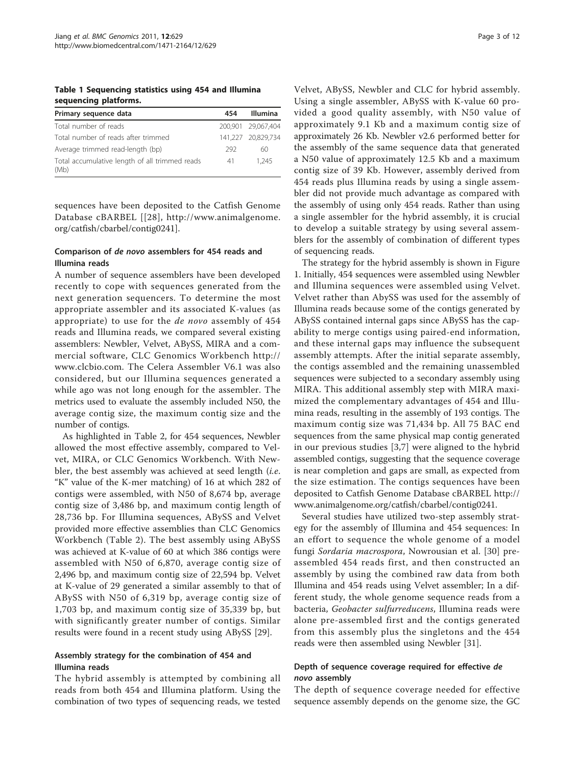<span id="page-2-0"></span>Table 1 Sequencing statistics using 454 and Illumina sequencing platforms.

| Primary sequence data                                  | 454 | <b>Illumina</b>    |
|--------------------------------------------------------|-----|--------------------|
| Total number of reads                                  |     | 200,901 29,067,404 |
| Total number of reads after trimmed                    |     | 141,227 20,829,734 |
| Average trimmed read-length (bp)                       | 292 | 60                 |
| Total accumulative length of all trimmed reads<br>(Mb) | 41  | 1.245              |

sequences have been deposited to the Catfish Genome Database cBARBEL [[[28\]](#page-10-0), [http://www.animalgenome.](http://www.animalgenome.org/catfish/cbarbel/contig0241) [org/catfish/cbarbel/contig0241](http://www.animalgenome.org/catfish/cbarbel/contig0241)].

#### Comparison of de novo assemblers for 454 reads and Illumina reads

A number of sequence assemblers have been developed recently to cope with sequences generated from the next generation sequencers. To determine the most appropriate assembler and its associated K-values (as appropriate) to use for the de novo assembly of 454 reads and Illumina reads, we compared several existing assemblers: Newbler, Velvet, ABySS, MIRA and a commercial software, CLC Genomics Workbench [http://](http://www.clcbio.com) [www.clcbio.com](http://www.clcbio.com). The Celera Assembler V6.1 was also considered, but our Illumina sequences generated a while ago was not long enough for the assembler. The metrics used to evaluate the assembly included N50, the average contig size, the maximum contig size and the number of contigs.

As highlighted in Table [2,](#page-3-0) for 454 sequences, Newbler allowed the most effective assembly, compared to Velvet, MIRA, or CLC Genomics Workbench. With Newbler, the best assembly was achieved at seed length (i.e. "K" value of the K-mer matching) of 16 at which 282 of contigs were assembled, with N50 of 8,674 bp, average contig size of 3,486 bp, and maximum contig length of 28,736 bp. For Illumina sequences, ABySS and Velvet provided more effective assemblies than CLC Genomics Workbench (Table [2](#page-3-0)). The best assembly using ABySS was achieved at K-value of 60 at which 386 contigs were assembled with N50 of 6,870, average contig size of 2,496 bp, and maximum contig size of 22,594 bp. Velvet at K-value of 29 generated a similar assembly to that of ABySS with N50 of 6,319 bp, average contig size of 1,703 bp, and maximum contig size of 35,339 bp, but with significantly greater number of contigs. Similar results were found in a recent study using ABySS [[29\]](#page-11-0).

#### Assembly strategy for the combination of 454 and Illumina reads

The hybrid assembly is attempted by combining all reads from both 454 and Illumina platform. Using the combination of two types of sequencing reads, we tested

Velvet, ABySS, Newbler and CLC for hybrid assembly. Using a single assembler, ABySS with K-value 60 provided a good quality assembly, with N50 value of approximately 9.1 Kb and a maximum contig size of approximately 26 Kb. Newbler v2.6 performed better for the assembly of the same sequence data that generated a N50 value of approximately 12.5 Kb and a maximum contig size of 39 Kb. However, assembly derived from 454 reads plus Illumina reads by using a single assembler did not provide much advantage as compared with the assembly of using only 454 reads. Rather than using a single assembler for the hybrid assembly, it is crucial to develop a suitable strategy by using several assemblers for the assembly of combination of different types of sequencing reads.

The strategy for the hybrid assembly is shown in Figure [1.](#page-4-0) Initially, 454 sequences were assembled using Newbler and Illumina sequences were assembled using Velvet. Velvet rather than AbySS was used for the assembly of Illumina reads because some of the contigs generated by ABySS contained internal gaps since ABySS has the capability to merge contigs using paired-end information, and these internal gaps may influence the subsequent assembly attempts. After the initial separate assembly, the contigs assembled and the remaining unassembled sequences were subjected to a secondary assembly using MIRA. This additional assembly step with MIRA maximized the complementary advantages of 454 and Illumina reads, resulting in the assembly of 193 contigs. The maximum contig size was 71,434 bp. All 75 BAC end sequences from the same physical map contig generated in our previous studies [\[3](#page-10-0),[7\]](#page-10-0) were aligned to the hybrid assembled contigs, suggesting that the sequence coverage is near completion and gaps are small, as expected from the size estimation. The contigs sequences have been deposited to Catfish Genome Database cBARBEL [http://](http://www.animalgenome.org/catfish/cbarbel/contig0241) [www.animalgenome.org/catfish/cbarbel/contig0241](http://www.animalgenome.org/catfish/cbarbel/contig0241).

Several studies have utilized two-step assembly strategy for the assembly of Illumina and 454 sequences: In an effort to sequence the whole genome of a model fungi Sordaria macrospora, Nowrousian et al. [[30\]](#page-11-0) preassembled 454 reads first, and then constructed an assembly by using the combined raw data from both Illumina and 454 reads using Velvet assembler; In a different study, the whole genome sequence reads from a bacteria, Geobacter sulfurreducens, Illumina reads were alone pre-assembled first and the contigs generated from this assembly plus the singletons and the 454 reads were then assembled using Newbler [[31](#page-11-0)].

## Depth of sequence coverage required for effective de novo assembly

The depth of sequence coverage needed for effective sequence assembly depends on the genome size, the GC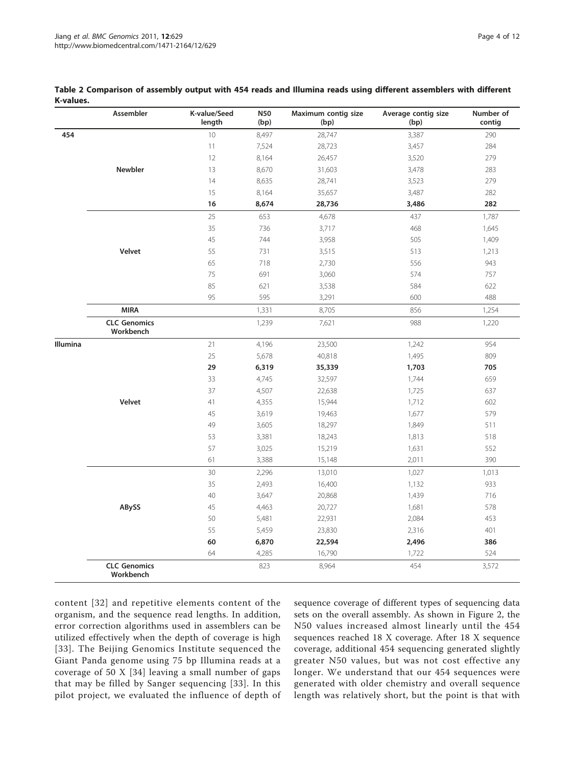|          | Assembler                        | K-value/Seed<br>length | N50<br>(bp) | Maximum contig size<br>(bp) | Average contig size<br>(bp) | Number of<br>contig |
|----------|----------------------------------|------------------------|-------------|-----------------------------|-----------------------------|---------------------|
| 454      |                                  | 10                     | 8,497       | 28,747                      | 3,387                       | 290                 |
|          |                                  | 11                     | 7,524       | 28,723                      | 3,457                       | 284                 |
|          |                                  | 12                     | 8,164       | 26,457                      | 3,520                       | 279                 |
|          | Newbler                          | 13                     | 8,670       | 31,603                      | 3,478                       | 283                 |
|          |                                  | 14                     | 8,635       | 28,741                      | 3,523                       | 279                 |
|          |                                  | 15                     | 8,164       | 35,657                      | 3,487                       | 282                 |
|          |                                  | 16                     | 8,674       | 28,736                      | 3,486                       | 282                 |
|          |                                  | 25                     | 653         | 4,678                       | 437                         | 1,787               |
|          |                                  | 35                     | 736         | 3,717                       | 468                         | 1,645               |
|          |                                  | 45                     | 744         | 3,958                       | 505                         | 1,409               |
|          | Velvet                           | 55                     | 731         | 3,515                       | 513                         | 1,213               |
|          |                                  | 65                     | 718         | 2,730                       | 556                         | 943                 |
|          |                                  | 75                     | 691         | 3,060                       | 574                         | 757                 |
|          |                                  | 85                     | 621         | 3,538                       | 584                         | 622                 |
|          |                                  | 95                     | 595         | 3,291                       | 600                         | 488                 |
|          | <b>MIRA</b>                      |                        | 1,331       | 8,705                       | 856                         | 1,254               |
|          | <b>CLC Genomics</b><br>Workbench |                        | 1,239       | 7,621                       | 988                         | 1,220               |
| Illumina |                                  | 21                     | 4,196       | 23,500                      | 1,242                       | 954                 |
|          |                                  | 25                     | 5,678       | 40,818                      | 1,495                       | 809                 |
|          |                                  | 29                     | 6,319       | 35,339                      | 1,703                       | 705                 |
|          |                                  | 33                     | 4,745       | 32,597                      | 1,744                       | 659                 |
|          |                                  | 37                     | 4,507       | 22,638                      | 1,725                       | 637                 |
|          | Velvet                           | 41                     | 4,355       | 15,944                      | 1,712                       | 602                 |
|          |                                  | 45                     | 3,619       | 19,463                      | 1,677                       | 579                 |
|          |                                  | 49                     | 3,605       | 18,297                      | 1,849                       | 511                 |
|          |                                  | 53                     | 3,381       | 18,243                      | 1,813                       | 518                 |
|          |                                  | 57                     | 3,025       | 15,219                      | 1,631                       | 552                 |
|          |                                  | 61                     | 3,388       | 15,148                      | 2,011                       | 390                 |
|          |                                  | 30                     | 2,296       | 13,010                      | 1,027                       | 1,013               |
|          |                                  | 35                     | 2,493       | 16,400                      | 1,132                       | 933                 |
|          |                                  | 40                     | 3,647       | 20,868                      | 1,439                       | 716                 |
|          | ABySS                            | 45                     | 4,463       | 20,727                      | 1,681                       | 578                 |
|          |                                  | 50                     | 5,481       | 22,931                      | 2,084                       | 453                 |
|          |                                  | 55                     | 5,459       | 23,830                      | 2,316                       | 401                 |
|          |                                  | 60                     | 6,870       | 22,594                      | 2,496                       | 386                 |
|          |                                  | 64                     | 4,285       | 16,790                      | 1,722                       | 524                 |
|          | <b>CLC Genomics</b><br>Workbench |                        | 823         | 8,964                       | 454                         | 3,572               |

#### <span id="page-3-0"></span>Table 2 Comparison of assembly output with 454 reads and Illumina reads using different assemblers with different K-values.

content [[32\]](#page-11-0) and repetitive elements content of the organism, and the sequence read lengths. In addition, error correction algorithms used in assemblers can be utilized effectively when the depth of coverage is high [[33\]](#page-11-0). The Beijing Genomics Institute sequenced the Giant Panda genome using 75 bp Illumina reads at a coverage of 50 X [\[34\]](#page-11-0) leaving a small number of gaps that may be filled by Sanger sequencing [[33](#page-11-0)]. In this pilot project, we evaluated the influence of depth of sequence coverage of different types of sequencing data sets on the overall assembly. As shown in Figure [2,](#page-4-0) the N50 values increased almost linearly until the 454 sequences reached 18 X coverage. After 18 X sequence coverage, additional 454 sequencing generated slightly greater N50 values, but was not cost effective any longer. We understand that our 454 sequences were generated with older chemistry and overall sequence length was relatively short, but the point is that with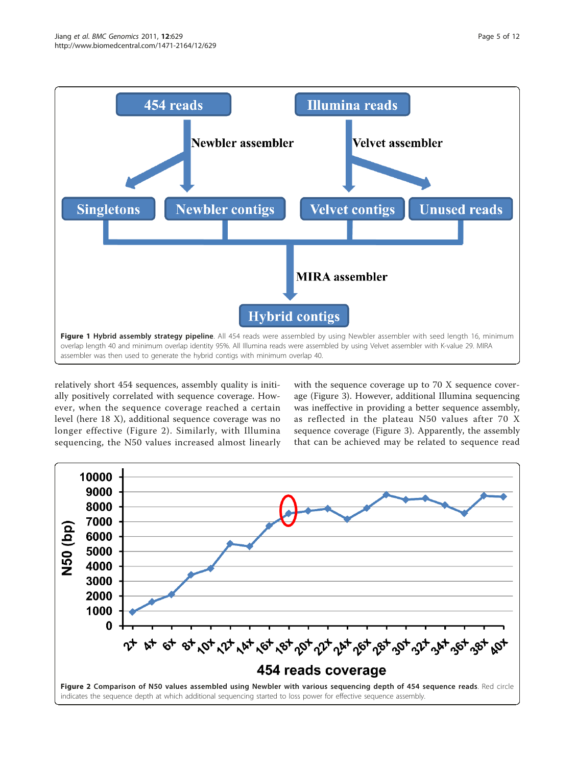<span id="page-4-0"></span>

relatively short 454 sequences, assembly quality is initially positively correlated with sequence coverage. However, when the sequence coverage reached a certain level (here 18 X), additional sequence coverage was no longer effective (Figure 2). Similarly, with Illumina sequencing, the N50 values increased almost linearly with the sequence coverage up to 70 X sequence coverage (Figure [3](#page-5-0)). However, additional Illumina sequencing was ineffective in providing a better sequence assembly, as reflected in the plateau N50 values after 70 X sequence coverage (Figure [3\)](#page-5-0). Apparently, the assembly that can be achieved may be related to sequence read

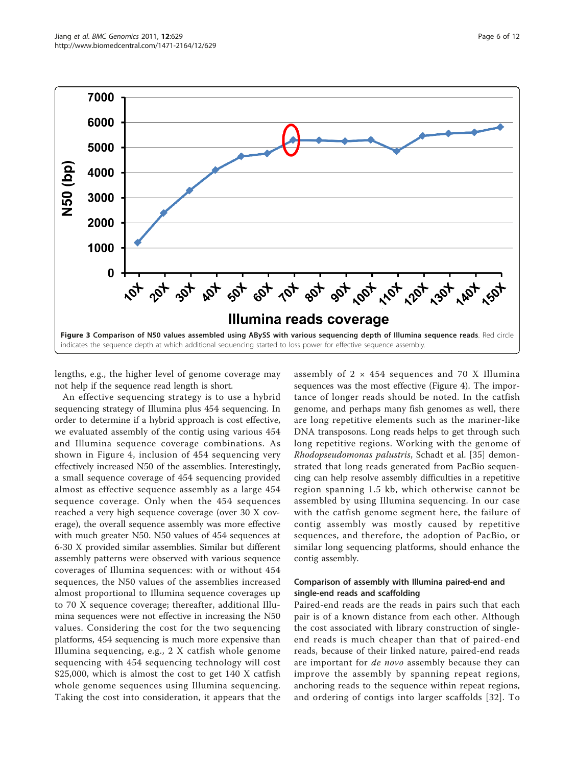<span id="page-5-0"></span>

lengths, e.g., the higher level of genome coverage may not help if the sequence read length is short.

An effective sequencing strategy is to use a hybrid sequencing strategy of Illumina plus 454 sequencing. In order to determine if a hybrid approach is cost effective, we evaluated assembly of the contig using various 454 and Illumina sequence coverage combinations. As shown in Figure [4,](#page-6-0) inclusion of 454 sequencing very effectively increased N50 of the assemblies. Interestingly, a small sequence coverage of 454 sequencing provided almost as effective sequence assembly as a large 454 sequence coverage. Only when the 454 sequences reached a very high sequence coverage (over 30 X coverage), the overall sequence assembly was more effective with much greater N50. N50 values of 454 sequences at 6-30 X provided similar assemblies. Similar but different assembly patterns were observed with various sequence coverages of Illumina sequences: with or without 454 sequences, the N50 values of the assemblies increased almost proportional to Illumina sequence coverages up to 70 X sequence coverage; thereafter, additional Illumina sequences were not effective in increasing the N50 values. Considering the cost for the two sequencing platforms, 454 sequencing is much more expensive than Illumina sequencing, e.g., 2 X catfish whole genome sequencing with 454 sequencing technology will cost \$25,000, which is almost the cost to get 140 X catfish whole genome sequences using Illumina sequencing. Taking the cost into consideration, it appears that the

assembly of  $2 \times 454$  sequences and 70 X Illumina sequences was the most effective (Figure [4\)](#page-6-0). The importance of longer reads should be noted. In the catfish genome, and perhaps many fish genomes as well, there are long repetitive elements such as the mariner-like DNA transposons. Long reads helps to get through such long repetitive regions. Working with the genome of Rhodopseudomonas palustris, Schadt et al. [[35\]](#page-11-0) demonstrated that long reads generated from PacBio sequencing can help resolve assembly difficulties in a repetitive region spanning 1.5 kb, which otherwise cannot be assembled by using Illumina sequencing. In our case with the catfish genome segment here, the failure of contig assembly was mostly caused by repetitive sequences, and therefore, the adoption of PacBio, or similar long sequencing platforms, should enhance the contig assembly.

## Comparison of assembly with Illumina paired-end and single-end reads and scaffolding

Paired-end reads are the reads in pairs such that each pair is of a known distance from each other. Although the cost associated with library construction of singleend reads is much cheaper than that of paired-end reads, because of their linked nature, paired-end reads are important for *de novo* assembly because they can improve the assembly by spanning repeat regions, anchoring reads to the sequence within repeat regions, and ordering of contigs into larger scaffolds [[32](#page-11-0)]. To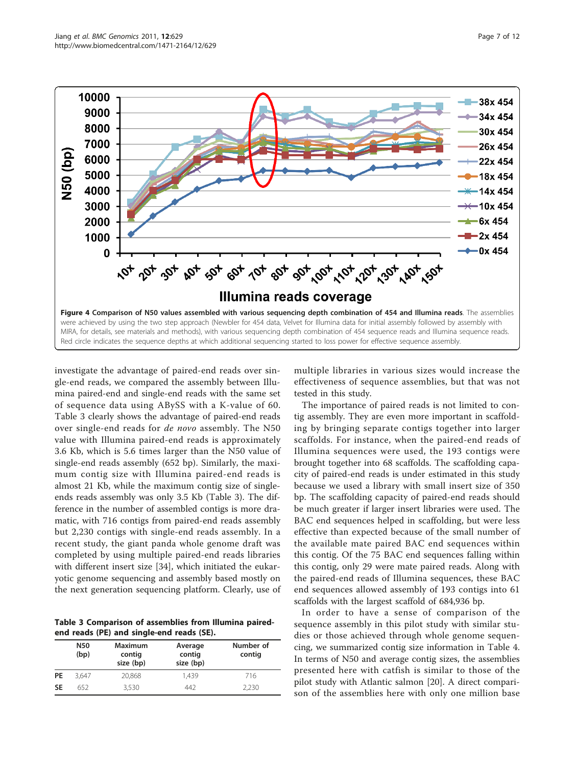<span id="page-6-0"></span>

investigate the advantage of paired-end reads over single-end reads, we compared the assembly between Illumina paired-end and single-end reads with the same set of sequence data using ABySS with a K-value of 60. Table 3 clearly shows the advantage of paired-end reads over single-end reads for de novo assembly. The N50 value with Illumina paired-end reads is approximately 3.6 Kb, which is 5.6 times larger than the N50 value of single-end reads assembly (652 bp). Similarly, the maximum contig size with Illumina paired-end reads is almost 21 Kb, while the maximum contig size of singleends reads assembly was only 3.5 Kb (Table 3). The difference in the number of assembled contigs is more dramatic, with 716 contigs from paired-end reads assembly but 2,230 contigs with single-end reads assembly. In a recent study, the giant panda whole genome draft was completed by using multiple paired-end reads libraries with different insert size [\[34](#page-11-0)], which initiated the eukaryotic genome sequencing and assembly based mostly on the next generation sequencing platform. Clearly, use of

Table 3 Comparison of assemblies from Illumina pairedend reads (PE) and single-end reads (SE).

|           | <b>N50</b><br>(bp) | <b>Maximum</b><br>contig<br>size (bp) | Average<br>contig<br>size (bp) | Number of<br>contig |
|-----------|--------------------|---------------------------------------|--------------------------------|---------------------|
| <b>PE</b> | 3.647              | 20,868                                | 1,439                          | 716                 |
| <b>SE</b> | 652                | 3.530                                 | 442                            | 2,230               |

multiple libraries in various sizes would increase the effectiveness of sequence assemblies, but that was not tested in this study.

The importance of paired reads is not limited to contig assembly. They are even more important in scaffolding by bringing separate contigs together into larger scaffolds. For instance, when the paired-end reads of Illumina sequences were used, the 193 contigs were brought together into 68 scaffolds. The scaffolding capacity of paired-end reads is under estimated in this study because we used a library with small insert size of 350 bp. The scaffolding capacity of paired-end reads should be much greater if larger insert libraries were used. The BAC end sequences helped in scaffolding, but were less effective than expected because of the small number of the available mate paired BAC end sequences within this contig. Of the 75 BAC end sequences falling within this contig, only 29 were mate paired reads. Along with the paired-end reads of Illumina sequences, these BAC end sequences allowed assembly of 193 contigs into 61 scaffolds with the largest scaffold of 684,936 bp.

In order to have a sense of comparison of the sequence assembly in this pilot study with similar studies or those achieved through whole genome sequencing, we summarized contig size information in Table [4](#page-7-0). In terms of N50 and average contig sizes, the assemblies presented here with catfish is similar to those of the pilot study with Atlantic salmon [[20](#page-10-0)]. A direct comparison of the assemblies here with only one million base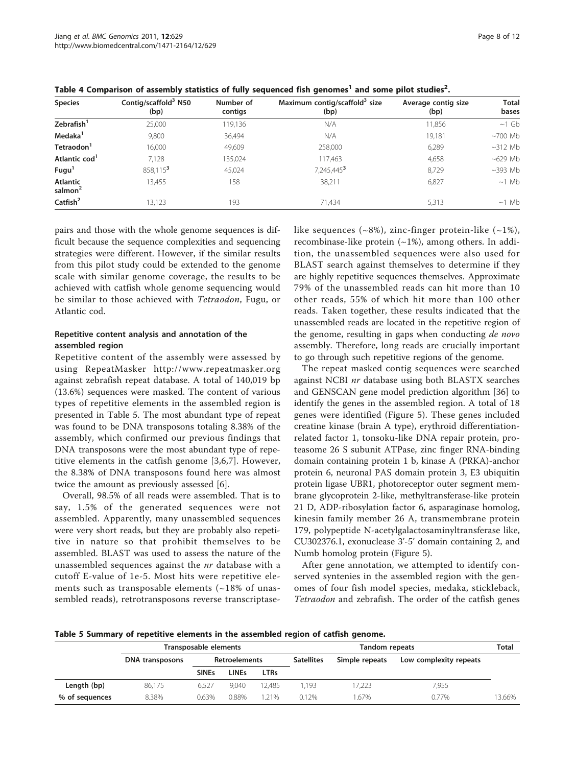| <b>Species</b>                         | Contig/scaffold <sup>3</sup> N50<br>(bp) | Number of<br>contigs | Maximum contig/scaffold <sup>3</sup> size<br>(bp) | Average contig size<br>(bp) | <b>Total</b><br>bases |
|----------------------------------------|------------------------------------------|----------------------|---------------------------------------------------|-----------------------------|-----------------------|
| Zebrafish <sup>1</sup>                 | 25,000                                   | 119,136              | N/A                                               | 11,856                      | $\sim$ 1 Gb           |
| Medaka <sup>1</sup>                    | 9,800                                    | 36,494               | N/A                                               | 19,181                      | $~100$ Mb             |
| Tetraodon <sup>1</sup>                 | 16.000                                   | 49,609               | 258,000                                           | 6,289                       | $~12$ Mb              |
| Atlantic cod <sup>1</sup>              | 7.128                                    | 135,024              | 117,463                                           | 4,658                       | $~100$ Mb             |
| Fugu <sup>1</sup>                      | 858,115 <sup>3</sup>                     | 45,024               | 7,245,445 <sup>3</sup>                            | 8,729                       | $~1293$ Mb            |
| <b>Atlantic</b><br>salmon <sup>2</sup> | 13.455                                   | 158                  | 38,211                                            | 6,827                       | $\sim$ 1 Mb           |
| Catfish <sup>2</sup>                   | 13.123                                   | 193                  | 71.434                                            | 5,313                       | $\sim$ 1 Mb           |

<span id="page-7-0"></span>Table 4 Comparison of assembly statistics of fully sequenced fish genomes<sup>1</sup> and some pilot studies<sup>2</sup>.

pairs and those with the whole genome sequences is difficult because the sequence complexities and sequencing strategies were different. However, if the similar results from this pilot study could be extended to the genome scale with similar genome coverage, the results to be achieved with catfish whole genome sequencing would be similar to those achieved with Tetraodon, Fugu, or Atlantic cod.

## Repetitive content analysis and annotation of the assembled region

Repetitive content of the assembly were assessed by using RepeatMasker<http://www.repeatmasker.org> against zebrafish repeat database. A total of 140,019 bp (13.6%) sequences were masked. The content of various types of repetitive elements in the assembled region is presented in Table 5. The most abundant type of repeat was found to be DNA transposons totaling 8.38% of the assembly, which confirmed our previous findings that DNA transposons were the most abundant type of repetitive elements in the catfish genome [[3,6](#page-10-0),[7\]](#page-10-0). However, the 8.38% of DNA transposons found here was almost twice the amount as previously assessed [[6](#page-10-0)].

Overall, 98.5% of all reads were assembled. That is to say, 1.5% of the generated sequences were not assembled. Apparently, many unassembled sequences were very short reads, but they are probably also repetitive in nature so that prohibit themselves to be assembled. BLAST was used to assess the nature of the unassembled sequences against the nr database with a cutoff E-value of 1e-5. Most hits were repetitive elements such as transposable elements  $(~18\%~\text{of}~\text{unas}~$ sembled reads), retrotransposons reverse transcriptaselike sequences  $(\sim 8\%)$ , zinc-finger protein-like  $(\sim 1\%)$ , recombinase-like protein  $(\sim 1\%)$ , among others. In addition, the unassembled sequences were also used for BLAST search against themselves to determine if they are highly repetitive sequences themselves. Approximate 79% of the unassembled reads can hit more than 10 other reads, 55% of which hit more than 100 other reads. Taken together, these results indicated that the unassembled reads are located in the repetitive region of the genome, resulting in gaps when conducting de novo assembly. Therefore, long reads are crucially important to go through such repetitive regions of the genome.

The repeat masked contig sequences were searched against NCBI nr database using both BLASTX searches and GENSCAN gene model prediction algorithm [\[36\]](#page-11-0) to identify the genes in the assembled region. A total of 18 genes were identified (Figure [5](#page-8-0)). These genes included creatine kinase (brain A type), erythroid differentiationrelated factor 1, tonsoku-like DNA repair protein, proteasome 26 S subunit ATPase, zinc finger RNA-binding domain containing protein 1 b, kinase A (PRKA)-anchor protein 6, neuronal PAS domain protein 3, E3 ubiquitin protein ligase UBR1, photoreceptor outer segment membrane glycoprotein 2-like, methyltransferase-like protein 21 D, ADP-ribosylation factor 6, asparaginase homolog, kinesin family member 26 A, transmembrane protein 179, polypeptide N-acetylgalactosaminyltransferase like, CU302376.1, exonuclease 3'-5' domain containing 2, and Numb homolog protein (Figure [5\)](#page-8-0).

After gene annotation, we attempted to identify conserved syntenies in the assembled region with the genomes of four fish model species, medaka, stickleback, Tetraodon and zebrafish. The order of the catfish genes

Table 5 Summary of repetitive elements in the assembled region of catfish genome.

|                | Transposable elements |                      |              |                   | <b>Tandom repeats</b> |                        |       | <b>Total</b> |
|----------------|-----------------------|----------------------|--------------|-------------------|-----------------------|------------------------|-------|--------------|
|                | DNA transposons       | <b>Retroelements</b> |              | <b>Satellites</b> | Simple repeats        | Low complexity repeats |       |              |
|                |                       | <b>SINEs</b>         | <b>LINEs</b> | <b>LTRs</b>       |                       |                        |       |              |
| Length (bp)    | 86.175                | 6.527                | 9.040        | 12.485            | 1.193                 | 7.223                  | 7.955 |              |
| % of sequences | 8.38%                 | 0.63%                | 0.88%        | 21%               | 0.12%                 | .67%                   | 0.77% | 13.66%       |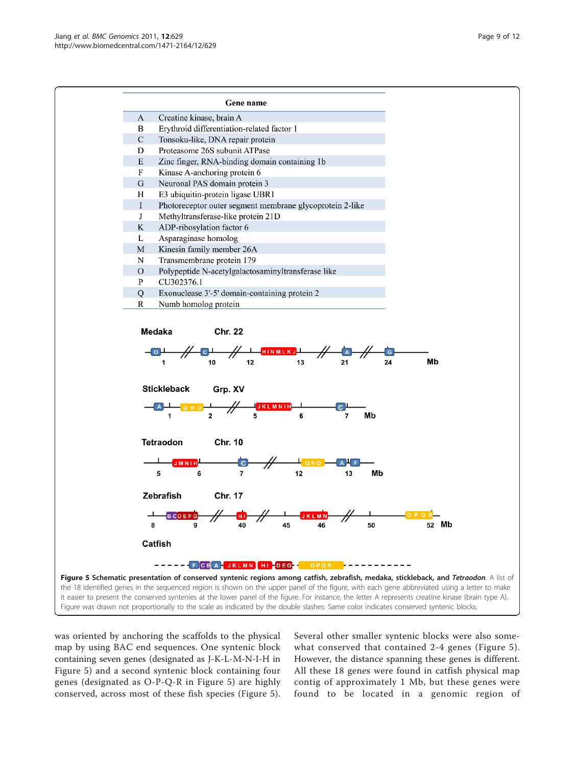<span id="page-8-0"></span>

was oriented by anchoring the scaffolds to the physical map by using BAC end sequences. One syntenic block containing seven genes (designated as J-K-L-M-N-I-H in Figure 5) and a second syntenic block containing four genes (designated as O-P-Q-R in Figure 5) are highly conserved, across most of these fish species (Figure 5). Several other smaller syntenic blocks were also somewhat conserved that contained 2-4 genes (Figure 5). However, the distance spanning these genes is different. All these 18 genes were found in catfish physical map contig of approximately 1 Mb, but these genes were found to be located in a genomic region of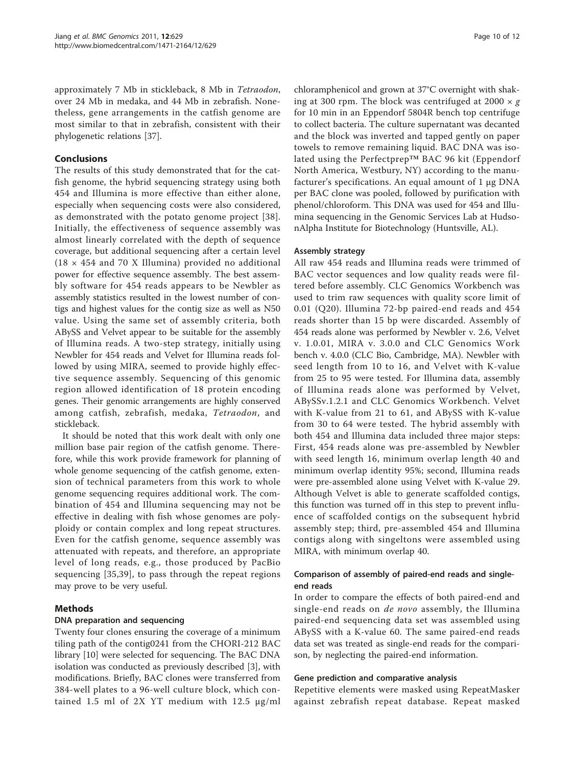approximately 7 Mb in stickleback, 8 Mb in Tetraodon, over 24 Mb in medaka, and 44 Mb in zebrafish. Nonetheless, gene arrangements in the catfish genome are most similar to that in zebrafish, consistent with their phylogenetic relations [[37](#page-11-0)].

## Conclusions

The results of this study demonstrated that for the catfish genome, the hybrid sequencing strategy using both 454 and Illumina is more effective than either alone, especially when sequencing costs were also considered, as demonstrated with the potato genome project [[38](#page-11-0)]. Initially, the effectiveness of sequence assembly was almost linearly correlated with the depth of sequence coverage, but additional sequencing after a certain level  $(18 \times 454$  and 70 X Illumina) provided no additional power for effective sequence assembly. The best assembly software for 454 reads appears to be Newbler as assembly statistics resulted in the lowest number of contigs and highest values for the contig size as well as N50 value. Using the same set of assembly criteria, both ABySS and Velvet appear to be suitable for the assembly of Illumina reads. A two-step strategy, initially using Newbler for 454 reads and Velvet for Illumina reads followed by using MIRA, seemed to provide highly effective sequence assembly. Sequencing of this genomic region allowed identification of 18 protein encoding genes. Their genomic arrangements are highly conserved among catfish, zebrafish, medaka, Tetraodon, and stickleback.

It should be noted that this work dealt with only one million base pair region of the catfish genome. Therefore, while this work provide framework for planning of whole genome sequencing of the catfish genome, extension of technical parameters from this work to whole genome sequencing requires additional work. The combination of 454 and Illumina sequencing may not be effective in dealing with fish whose genomes are polyploidy or contain complex and long repeat structures. Even for the catfish genome, sequence assembly was attenuated with repeats, and therefore, an appropriate level of long reads, e.g., those produced by PacBio sequencing [[35,39](#page-11-0)], to pass through the repeat regions may prove to be very useful.

## Methods

#### DNA preparation and sequencing

Twenty four clones ensuring the coverage of a minimum tiling path of the contig0241 from the CHORI-212 BAC library [\[10](#page-10-0)] were selected for sequencing. The BAC DNA isolation was conducted as previously described [\[3](#page-10-0)], with modifications. Briefly, BAC clones were transferred from 384-well plates to a 96-well culture block, which contained 1.5 ml of 2X YT medium with 12.5 μg/ml

chloramphenicol and grown at 37°C overnight with shaking at 300 rpm. The block was centrifuged at 2000  $\times g$ for 10 min in an Eppendorf 5804R bench top centrifuge to collect bacteria. The culture supernatant was decanted and the block was inverted and tapped gently on paper towels to remove remaining liquid. BAC DNA was isolated using the Perfectprep™ BAC 96 kit (Eppendorf North America, Westbury, NY) according to the manufacturer's specifications. An equal amount of 1 μg DNA per BAC clone was pooled, followed by purification with phenol/chloroform. This DNA was used for 454 and Illumina sequencing in the Genomic Services Lab at HudsonAlpha Institute for Biotechnology (Huntsville, AL).

#### Assembly strategy

All raw 454 reads and Illumina reads were trimmed of BAC vector sequences and low quality reads were filtered before assembly. CLC Genomics Workbench was used to trim raw sequences with quality score limit of 0.01 (Q20). Illumina 72-bp paired-end reads and 454 reads shorter than 15 bp were discarded. Assembly of 454 reads alone was performed by Newbler v. 2.6, Velvet v. 1.0.01, MIRA v. 3.0.0 and CLC Genomics Work bench v. 4.0.0 (CLC Bio, Cambridge, MA). Newbler with seed length from 10 to 16, and Velvet with K-value from 25 to 95 were tested. For Illumina data, assembly of Illumina reads alone was performed by Velvet, ABySSv.1.2.1 and CLC Genomics Workbench. Velvet with K-value from 21 to 61, and ABySS with K-value from 30 to 64 were tested. The hybrid assembly with both 454 and Illumina data included three major steps: First, 454 reads alone was pre-assembled by Newbler with seed length 16, minimum overlap length 40 and minimum overlap identity 95%; second, Illumina reads were pre-assembled alone using Velvet with K-value 29. Although Velvet is able to generate scaffolded contigs, this function was turned off in this step to prevent influence of scaffolded contigs on the subsequent hybrid assembly step; third, pre-assembled 454 and Illumina contigs along with singeltons were assembled using MIRA, with minimum overlap 40.

## Comparison of assembly of paired-end reads and singleend reads

In order to compare the effects of both paired-end and single-end reads on *de novo* assembly, the Illumina paired-end sequencing data set was assembled using ABySS with a K-value 60. The same paired-end reads data set was treated as single-end reads for the comparison, by neglecting the paired-end information.

#### Gene prediction and comparative analysis

Repetitive elements were masked using RepeatMasker against zebrafish repeat database. Repeat masked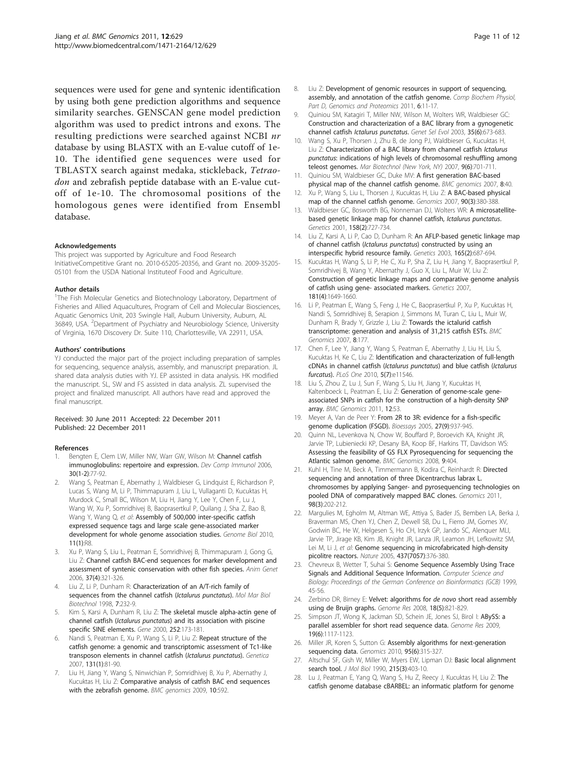<span id="page-10-0"></span>sequences were used for gene and syntenic identification by using both gene prediction algorithms and sequence similarity searches. GENSCAN gene model prediction algorithm was used to predict introns and exons. The resulting predictions were searched against NCBI nr database by using BLASTX with an E-value cutoff of 1e-10. The identified gene sequences were used for TBLASTX search against medaka, stickleback, Tetraodon and zebrafish peptide database with an E-value cutoff of 1e-10. The chromosomal positions of the homologous genes were identified from Ensembl database.

#### Acknowledgements

This project was supported by Agriculture and Food Research InitiativeCompetitive Grant no. 2010-65205-20356, and Grant no. 2009-35205- 05101 from the USDA National Instituteof Food and Agriculture.

#### Author details

<sup>1</sup>The Fish Molecular Genetics and Biotechnology Laboratory, Department of Fisheries and Allied Aquacultures, Program of Cell and Molecular Biosciences, Aquatic Genomics Unit, 203 Swingle Hall, Auburn University, Auburn, AL 36849, USA. <sup>2</sup>Department of Psychiatry and Neurobiology Science, University of Virginia, 1670 Discovery Dr. Suite 110, Charlottesville, VA 22911, USA.

#### Authors' contributions

YJ conducted the major part of the project including preparation of samples for sequencing, sequence analysis, assembly, and manuscript preparation. JL shared data analysis duties with YJ. EP assisted in data analysis. HK modified the manuscript. SL, SW and FS assisted in data analysis. ZL supervised the project and finalized manuscript. All authors have read and approved the final manuscript.

#### Received: 30 June 2011 Accepted: 22 December 2011 Published: 22 December 2011

#### References

- Bengten E, Clem LW, Miller NW, Warr GW, Wilson M: [Channel catfish](http://www.ncbi.nlm.nih.gov/pubmed/16153707?dopt=Abstract) [immunoglobulins: repertoire and expression.](http://www.ncbi.nlm.nih.gov/pubmed/16153707?dopt=Abstract) Dev Comp Immunol 2006, 30(1-2):77-92.
- 2. Wang S, Peatman E, Abernathy J, Waldbieser G, Lindquist E, Richardson P, Lucas S, Wang M, Li P, Thimmapuram J, Liu L, Vullaganti D, Kucuktas H, Murdock C, Small BC, Wilson M, Liu H, Jiang Y, Lee Y, Chen F, Lu J, Wang W, Xu P, Somridhivej B, Baoprasertkul P, Quilang J, Sha Z, Bao B, Wang Y, Wang Q, et al: [Assembly of 500,000 inter-specific catfish](http://www.ncbi.nlm.nih.gov/pubmed/20096101?dopt=Abstract) [expressed sequence tags and large scale gene-associated marker](http://www.ncbi.nlm.nih.gov/pubmed/20096101?dopt=Abstract) [development for whole genome association studies.](http://www.ncbi.nlm.nih.gov/pubmed/20096101?dopt=Abstract) Genome Biol 2010, 11(1):R8.
- 3. Xu P, Wang S, Liu L, Peatman E, Somridhivej B, Thimmapuram J, Gong G, Liu Z: [Channel catfish BAC-end sequences for marker development and](http://www.ncbi.nlm.nih.gov/pubmed/16879340?dopt=Abstract) [assessment of syntenic conservation with other fish species.](http://www.ncbi.nlm.nih.gov/pubmed/16879340?dopt=Abstract) Anim Genet 2006, 37(4):321-326.
- 4. Liu Z, Li P, Dunham R: [Characterization of an A/T-rich family of](http://www.ncbi.nlm.nih.gov/pubmed/9701618?dopt=Abstract) [sequences from the channel catfish \(](http://www.ncbi.nlm.nih.gov/pubmed/9701618?dopt=Abstract)Ictalurus punctatus). Mol Mar Biol Biotechnol 1998, 7:232-9.
- Kim S, Karsi A, Dunham R, Liu Z: [The skeletal muscle alpha-actin gene of](http://www.ncbi.nlm.nih.gov/pubmed/10903449?dopt=Abstract) channel catfish (Ictalurus punctatus[\) and its association with piscine](http://www.ncbi.nlm.nih.gov/pubmed/10903449?dopt=Abstract) [specific SINE elements.](http://www.ncbi.nlm.nih.gov/pubmed/10903449?dopt=Abstract) Gene 2000, 252:173-181.
- Nandi S, Peatman E, Xu P, Wang S, Li P, Liu Z: [Repeat structure of the](http://www.ncbi.nlm.nih.gov/pubmed/17091335?dopt=Abstract) [catfish genome: a genomic and transcriptomic assessment of Tc1-like](http://www.ncbi.nlm.nih.gov/pubmed/17091335?dopt=Abstract) [transposon elements in channel catfish \(](http://www.ncbi.nlm.nih.gov/pubmed/17091335?dopt=Abstract)Ictalurus punctatus). Genetica 2007, 131(1):81-90.
- Liu H, Jiang Y, Wang S, Ninwichian P, Somridhivej B, Xu P, Abernathy J, Kucuktas H, Liu Z: [Comparative analysis of catfish BAC end sequences](http://www.ncbi.nlm.nih.gov/pubmed/20003258?dopt=Abstract) [with the zebrafish genome.](http://www.ncbi.nlm.nih.gov/pubmed/20003258?dopt=Abstract) BMC genomics 2009, 10:592.
- 8. Liu Z: Development of genomic resources in support of sequencing. assembly, and annotation of the catfish genome. Comp Biochem Physiol, Part D, Genomics and Proteomics 2011, 6:11-17.
- 9. Quiniou SM, Katagiri T, Miller NW, Wilson M, Wolters WR, Waldbieser GC: [Construction and characterization of a BAC library from a gynogenetic](http://www.ncbi.nlm.nih.gov/pubmed/14604514?dopt=Abstract) channel catfish [Ictalurus punctatus](http://www.ncbi.nlm.nih.gov/pubmed/14604514?dopt=Abstract). Genet Sel Evol 2003, 35(6):673-683.
- 10. Wang S, Xu P, Thorsen J, Zhu B, de Jong PJ, Waldbieser G, Kucuktas H, Liu Z: Characterization of a BAC library from channel catfish Ictalurus punctatus: indications of high levels of chromosomal reshuffling among teleost genomes. Mar Biotechnol (New York, NY) 2007, 9(6):701-711.
- 11. Quiniou SM, Waldbieser GC, Duke MV: [A first generation BAC-based](http://www.ncbi.nlm.nih.gov/pubmed/17284319?dopt=Abstract) [physical map of the channel catfish genome.](http://www.ncbi.nlm.nih.gov/pubmed/17284319?dopt=Abstract) BMC genomics 2007, 8:40.
- 12. Xu P, Wang S, Liu L, Thorsen J, Kucuktas H, Liu Z: [A BAC-based physical](http://www.ncbi.nlm.nih.gov/pubmed/17582737?dopt=Abstract) [map of the channel catfish genome.](http://www.ncbi.nlm.nih.gov/pubmed/17582737?dopt=Abstract) Genomics 2007, 90(3):380-388.
- 13. Waldbieser GC, Bosworth BG, Nonneman DJ, Wolters WR: [A microsatellite](http://www.ncbi.nlm.nih.gov/pubmed/11404336?dopt=Abstract)[based genetic linkage map for channel catfish,](http://www.ncbi.nlm.nih.gov/pubmed/11404336?dopt=Abstract) Ictalurus punctatus. Genetics 2001, 158(2):727-734.
- 14. Liu Z, Karsi A, Li P, Cao D, Dunham R: [An AFLP-based genetic linkage map](http://www.ncbi.nlm.nih.gov/pubmed/14573480?dopt=Abstract) of channel catfish (Ictalurus punctatus[\) constructed by using an](http://www.ncbi.nlm.nih.gov/pubmed/14573480?dopt=Abstract) [interspecific hybrid resource family.](http://www.ncbi.nlm.nih.gov/pubmed/14573480?dopt=Abstract) Genetics 2003, 165(2):687-694.
- 15. Kucuktas H, Wang S, Li P, He C, Xu P, Sha Z, Liu H, Jiang Y, Baoprasertkul P, Somridhivej B, Wang Y, Abernathy J, Guo X, Liu L, Muir W, Liu Z: Construction of genetic linkage maps and comparative genome analysis of catfish using gene- associated markers. Genetics 2007, 181(4):1649-1660.
- 16. Li P, Peatman E, Wang S, Feng J, He C, Baoprasertkul P, Xu P, Kucuktas H, Nandi S, Somridhivej B, Serapion J, Simmons M, Turan C, Liu L, Muir W, Dunham R, Brady Y, Grizzle J, Liu Z: [Towards the ictalurid catfish](http://www.ncbi.nlm.nih.gov/pubmed/17577415?dopt=Abstract) [transcriptome: generation and analysis of 31,215 catfish ESTs.](http://www.ncbi.nlm.nih.gov/pubmed/17577415?dopt=Abstract) BMC Genomics 2007, 8:177.
- 17. Chen F, Lee Y, Jiang Y, Wang S, Peatman E, Abernathy J, Liu H, Liu S, Kucuktas H, Ke C, Liu Z: [Identification and characterization of full-length](http://www.ncbi.nlm.nih.gov/pubmed/20634964?dopt=Abstract) [cDNAs in channel catfish \(](http://www.ncbi.nlm.nih.gov/pubmed/20634964?dopt=Abstract)Ictalurus punctatus) and blue catfish (Ictalurus [furcatus](http://www.ncbi.nlm.nih.gov/pubmed/20634964?dopt=Abstract)). PLoS One 2010, 5(7):e11546.
- 18. Liu S, Zhou Z, Lu J, Sun F, Wang S, Liu H, Jiang Y, Kucuktas H, Kaltenboeck L, Peatman E, Liu Z: [Generation of genome-scale gene](http://www.ncbi.nlm.nih.gov/pubmed/21255432?dopt=Abstract)[associated SNPs in catfish for the construction of a high-density SNP](http://www.ncbi.nlm.nih.gov/pubmed/21255432?dopt=Abstract) [array.](http://www.ncbi.nlm.nih.gov/pubmed/21255432?dopt=Abstract) BMC Genomics 2011, 12:53.
- 19. Meyer A, Van de Peer Y: [From 2R to 3R: evidence for a fish-specific](http://www.ncbi.nlm.nih.gov/pubmed/16108068?dopt=Abstract) [genome duplication \(FSGD\).](http://www.ncbi.nlm.nih.gov/pubmed/16108068?dopt=Abstract) Bioessays 2005, 27(9):937-945.
- 20. Quinn NL, Levenkova N, Chow W, Bouffard P, Boroevich KA, Knight JR, Jarvie TP, Lubieniecki KP, Desany BA, Koop BF, Harkins TT, Davidson WS: [Assessing the feasibility of GS FLX Pyrosequencing for sequencing the](http://www.ncbi.nlm.nih.gov/pubmed/18755037?dopt=Abstract) [Atlantic salmon genome.](http://www.ncbi.nlm.nih.gov/pubmed/18755037?dopt=Abstract) BMC Genomics 2008, 9:404.
- 21. Kuhl H, Tine M, Beck A, Timmermann B, Kodira C, Reinhardt R: [Directed](http://www.ncbi.nlm.nih.gov/pubmed/21693181?dopt=Abstract) [sequencing and annotation of three Dicentrarchus labrax L.](http://www.ncbi.nlm.nih.gov/pubmed/21693181?dopt=Abstract) [chromosomes by applying Sanger- and pyrosequencing technologies on](http://www.ncbi.nlm.nih.gov/pubmed/21693181?dopt=Abstract) [pooled DNA of comparatively mapped BAC clones.](http://www.ncbi.nlm.nih.gov/pubmed/21693181?dopt=Abstract) Genomics 2011, 98(3):202-212.
- 22. Margulies M, Egholm M, Altman WE, Attiya S, Bader JS, Bemben LA, Berka J, Braverman MS, Chen YJ, Chen Z, Dewell SB, Du L, Fierro JM, Gomes XV, Godwin BC, He W, Helgesen S, Ho CH, Irzyk GP, Jando SC, Alenquer MLI, Jarvie TP, Jirage KB, Kim JB, Knight JR, Lanza JR, Leamon JH, Lefkowitz SM, Lei M, Li J, et al: [Genome sequencing in microfabricated high-density](http://www.ncbi.nlm.nih.gov/pubmed/16056220?dopt=Abstract) [picolitre reactors.](http://www.ncbi.nlm.nih.gov/pubmed/16056220?dopt=Abstract) Nature 2005, 437(7057):376-380.
- 23. Chevreux B, Wetter T, Suhai S: Genome Sequence Assembly Using Trace Signals and Additional Sequence Information. Computer Science and Biology: Proceedings of the German Conference on Bioinformatics (GCB) 1999, 45-56.
- 24. Zerbino DR, Birney E: [Velvet: algorithms for](http://www.ncbi.nlm.nih.gov/pubmed/18349386?dopt=Abstract) de novo short read assembly [using de Bruijn graphs.](http://www.ncbi.nlm.nih.gov/pubmed/18349386?dopt=Abstract) Genome Res 2008, 18(5):821-829.
- 25. Simpson JT, Wong K, Jackman SD, Schein JE, Jones SJ, Birol I: [ABySS: a](http://www.ncbi.nlm.nih.gov/pubmed/19251739?dopt=Abstract) [parallel assembler for short read sequence data.](http://www.ncbi.nlm.nih.gov/pubmed/19251739?dopt=Abstract) Genome Res 2009, 19(6):1117-1123.
- 26. Miller JR, Koren S, Sutton G: [Assembly algorithms for next-generation](http://www.ncbi.nlm.nih.gov/pubmed/20211242?dopt=Abstract) [sequencing data.](http://www.ncbi.nlm.nih.gov/pubmed/20211242?dopt=Abstract) Genomics 2010, 95(6):315-327.
- 27. Altschul SF, Gish W, Miller W, Myers EW, Lipman DJ: [Basic local alignment](http://www.ncbi.nlm.nih.gov/pubmed/2231712?dopt=Abstract) [search tool.](http://www.ncbi.nlm.nih.gov/pubmed/2231712?dopt=Abstract) J Mol Biol 1990, 215(3):403-10.
- 28. Lu J, Peatman E, Yang Q, Wang S, Hu Z, Reecy J, Kucuktas H, Liu Z: The catfish genome database cBARBEL: an informatic platform for genome